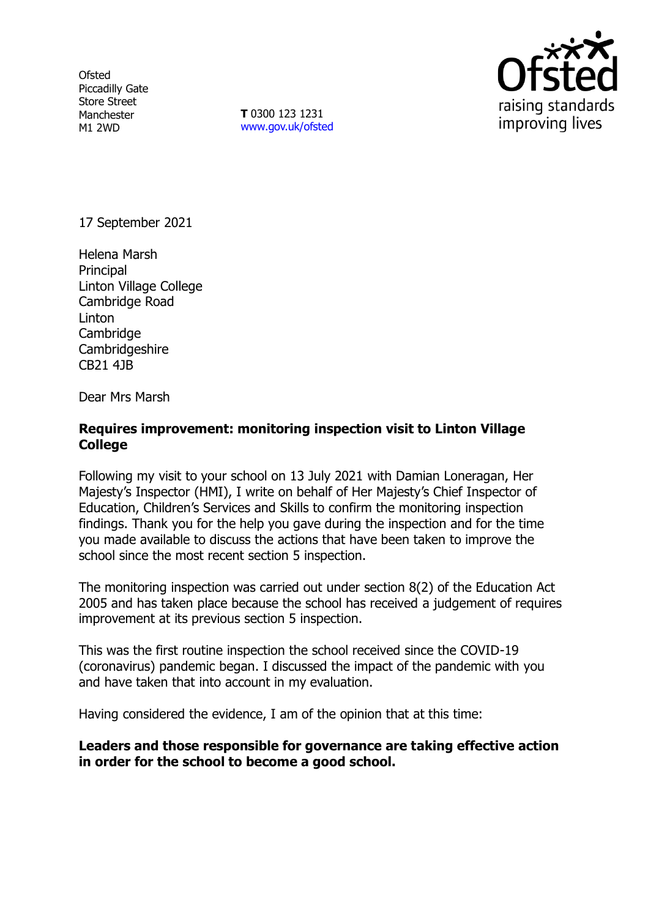**Ofsted** Piccadilly Gate Store Street Manchester M1 2WD

**T** 0300 123 1231 [www.gov.uk/ofsted](http://www.gov.uk/ofsted)



17 September 2021

Helena Marsh Principal Linton Village College Cambridge Road Linton **Cambridge** Cambridgeshire CB21 4JB

Dear Mrs Marsh

# **Requires improvement: monitoring inspection visit to Linton Village College**

Following my visit to your school on 13 July 2021 with Damian Loneragan, Her Majesty's Inspector (HMI), I write on behalf of Her Majesty's Chief Inspector of Education, Children's Services and Skills to confirm the monitoring inspection findings. Thank you for the help you gave during the inspection and for the time you made available to discuss the actions that have been taken to improve the school since the most recent section 5 inspection.

The monitoring inspection was carried out under section 8(2) of the Education Act 2005 and has taken place because the school has received a judgement of requires improvement at its previous section 5 inspection.

This was the first routine inspection the school received since the COVID-19 (coronavirus) pandemic began. I discussed the impact of the pandemic with you and have taken that into account in my evaluation.

Having considered the evidence, I am of the opinion that at this time:

**Leaders and those responsible for governance are taking effective action in order for the school to become a good school.**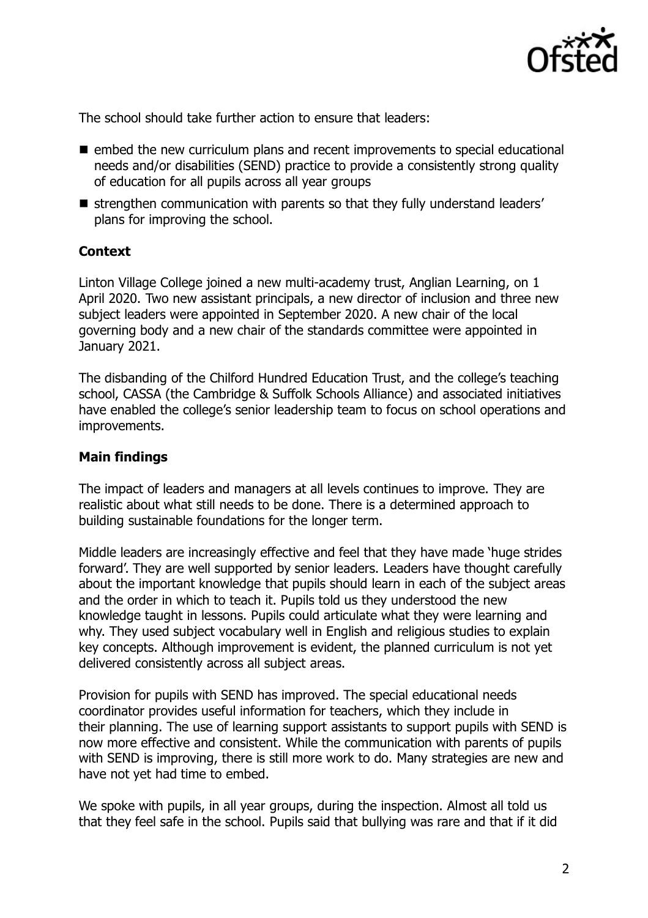

The school should take further action to ensure that leaders:

- embed the new curriculum plans and recent improvements to special educational needs and/or disabilities (SEND) practice to provide a consistently strong quality of education for all pupils across all year groups
- strengthen communication with parents so that they fully understand leaders' plans for improving the school.

### **Context**

Linton Village College joined a new multi-academy trust, Anglian Learning, on 1 April 2020. Two new assistant principals, a new director of inclusion and three new subject leaders were appointed in September 2020. A new chair of the local governing body and a new chair of the standards committee were appointed in January 2021.

The disbanding of the Chilford Hundred Education Trust, and the college's teaching school, CASSA (the Cambridge & Suffolk Schools Alliance) and associated initiatives have enabled the college's senior leadership team to focus on school operations and improvements.

#### **Main findings**

The impact of leaders and managers at all levels continues to improve. They are realistic about what still needs to be done. There is a determined approach to building sustainable foundations for the longer term.

Middle leaders are increasingly effective and feel that they have made 'huge strides forward'. They are well supported by senior leaders. Leaders have thought carefully about the important knowledge that pupils should learn in each of the subject areas and the order in which to teach it. Pupils told us they understood the new knowledge taught in lessons. Pupils could articulate what they were learning and why. They used subject vocabulary well in English and religious studies to explain key concepts. Although improvement is evident, the planned curriculum is not yet delivered consistently across all subject areas.

Provision for pupils with SEND has improved. The special educational needs coordinator provides useful information for teachers, which they include in their planning. The use of learning support assistants to support pupils with SEND is now more effective and consistent. While the communication with parents of pupils with SEND is improving, there is still more work to do. Many strategies are new and have not yet had time to embed.

We spoke with pupils, in all year groups, during the inspection. Almost all told us that they feel safe in the school. Pupils said that bullying was rare and that if it did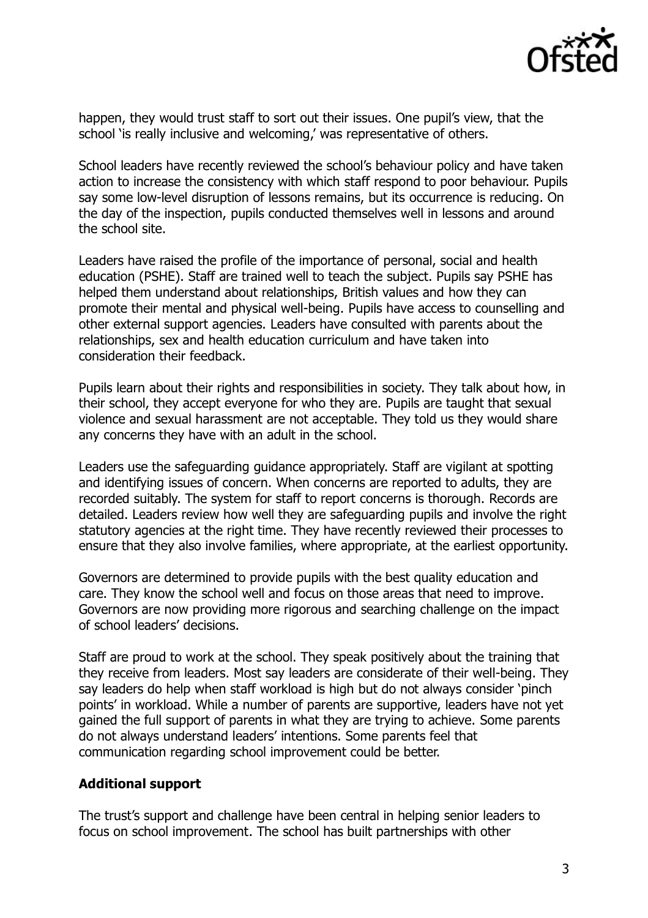

happen, they would trust staff to sort out their issues. One pupil's view, that the school 'is really inclusive and welcoming,' was representative of others.

School leaders have recently reviewed the school's behaviour policy and have taken action to increase the consistency with which staff respond to poor behaviour. Pupils say some low-level disruption of lessons remains, but its occurrence is reducing. On the day of the inspection, pupils conducted themselves well in lessons and around the school site.

Leaders have raised the profile of the importance of personal, social and health education (PSHE). Staff are trained well to teach the subject. Pupils say PSHE has helped them understand about relationships, British values and how they can promote their mental and physical well-being. Pupils have access to counselling and other external support agencies. Leaders have consulted with parents about the relationships, sex and health education curriculum and have taken into consideration their feedback.

Pupils learn about their rights and responsibilities in society. They talk about how, in their school, they accept everyone for who they are. Pupils are taught that sexual violence and sexual harassment are not acceptable. They told us they would share any concerns they have with an adult in the school.

Leaders use the safeguarding guidance appropriately. Staff are vigilant at spotting and identifying issues of concern. When concerns are reported to adults, they are recorded suitably. The system for staff to report concerns is thorough. Records are detailed. Leaders review how well they are safeguarding pupils and involve the right statutory agencies at the right time. They have recently reviewed their processes to ensure that they also involve families, where appropriate, at the earliest opportunity.

Governors are determined to provide pupils with the best quality education and care. They know the school well and focus on those areas that need to improve. Governors are now providing more rigorous and searching challenge on the impact of school leaders' decisions.

Staff are proud to work at the school. They speak positively about the training that they receive from leaders. Most say leaders are considerate of their well-being. They say leaders do help when staff workload is high but do not always consider 'pinch points' in workload. While a number of parents are supportive, leaders have not yet gained the full support of parents in what they are trying to achieve. Some parents do not always understand leaders' intentions. Some parents feel that communication regarding school improvement could be better.

# **Additional support**

The trust's support and challenge have been central in helping senior leaders to focus on school improvement. The school has built partnerships with other